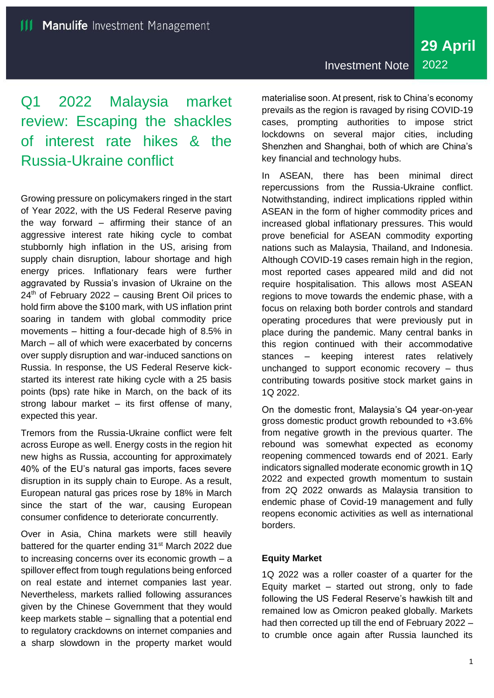# Q1 2022 Malaysia market review: Escaping the shackles of interest rate hikes & the Russia-Ukraine conflict

Growing pressure on policymakers ringed in the start of Year 2022, with the US Federal Reserve paving the way forward – affirming their stance of an aggressive interest rate hiking cycle to combat stubbornly high inflation in the US, arising from supply chain disruption, labour shortage and high energy prices. Inflationary fears were further aggravated by Russia's invasion of Ukraine on the  $24<sup>th</sup>$  of February 2022 – causing Brent Oil prices to hold firm above the \$100 mark, with US inflation print soaring in tandem with global commodity price movements – hitting a four-decade high of 8.5% in March – all of which were exacerbated by concerns over supply disruption and war-induced sanctions on Russia. In response, the US Federal Reserve kickstarted its interest rate hiking cycle with a 25 basis points (bps) rate hike in March, on the back of its strong labour market – its first offense of many, expected this year.

Tremors from the Russia-Ukraine conflict were felt across Europe as well. Energy costs in the region hit new highs as Russia, accounting for approximately 40% of the EU's natural gas imports, faces severe disruption in its supply chain to Europe. As a result, European natural gas prices rose by 18% in March since the start of the war, causing European consumer confidence to deteriorate concurrently.

Over in Asia, China markets were still heavily battered for the quarter ending 31<sup>st</sup> March 2022 due to increasing concerns over its economic growth – a spillover effect from tough regulations being enforced on real estate and internet companies last year. Nevertheless, markets rallied following assurances given by the Chinese Government that they would keep markets stable – signalling that a potential end to regulatory crackdowns on internet companies and a sharp slowdown in the property market would

materialise soon. At present, risk to China's economy prevails as the region is ravaged by rising COVID-19 cases, prompting authorities to impose strict lockdowns on several major cities, including Shenzhen and Shanghai, both of which are China's key financial and technology hubs.

In ASEAN, there has been minimal direct repercussions from the Russia-Ukraine conflict. Notwithstanding, indirect implications rippled within ASEAN in the form of higher commodity prices and increased global inflationary pressures. This would prove beneficial for ASEAN commodity exporting nations such as Malaysia, Thailand, and Indonesia. Although COVID-19 cases remain high in the region, most reported cases appeared mild and did not require hospitalisation. This allows most ASEAN regions to move towards the endemic phase, with a focus on relaxing both border controls and standard operating procedures that were previously put in place during the pandemic. Many central banks in this region continued with their accommodative stances – keeping interest rates relatively unchanged to support economic recovery – thus contributing towards positive stock market gains in 1Q 2022.

On the domestic front, Malaysia's Q4 year-on-year gross domestic product growth rebounded to +3.6% from negative growth in the previous quarter. The rebound was somewhat expected as economy reopening commenced towards end of 2021. Early indicators signalled moderate economic growth in 1Q 2022 and expected growth momentum to sustain from 2Q 2022 onwards as Malaysia transition to endemic phase of Covid-19 management and fully reopens economic activities as well as international borders.

# **Equity Market**

1Q 2022 was a roller coaster of a quarter for the Equity market – started out strong, only to fade following the US Federal Reserve's hawkish tilt and remained low as Omicron peaked globally. Markets had then corrected up till the end of February 2022 – to crumble once again after Russia launched its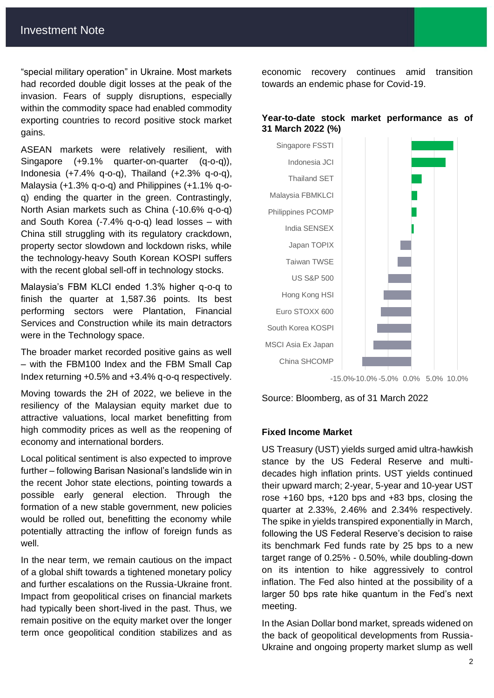"special military operation" in Ukraine. Most markets had recorded double digit losses at the peak of the invasion. Fears of supply disruptions, especially within the commodity space had enabled commodity exporting countries to record positive stock market gains.

ASEAN markets were relatively resilient, with Singapore (+9.1% quarter-on-quarter (q-o-q)), Indonesia (+7.4% q-o-q), Thailand (+2.3% q-o-q), Malaysia (+1.3% q-o-q) and Philippines (+1.1% q-oq) ending the quarter in the green. Contrastingly, North Asian markets such as China (-10.6% q-o-q) and South Korea (-7.4% q-o-q) lead losses – with China still struggling with its regulatory crackdown, property sector slowdown and lockdown risks, while the technology-heavy South Korean KOSPI suffers with the recent global sell-off in technology stocks.

Malaysia's FBM KLCI ended 1.3% higher q-o-q to finish the quarter at 1,587.36 points. Its best performing sectors were Plantation, Financial Services and Construction while its main detractors were in the Technology space.

The broader market recorded positive gains as well – with the FBM100 Index and the FBM Small Cap Index returning +0.5% and +3.4% q-o-q respectively.

Moving towards the 2H of 2022, we believe in the resiliency of the Malaysian equity market due to attractive valuations, local market benefitting from high commodity prices as well as the reopening of economy and international borders.

Local political sentiment is also expected to improve further – following Barisan Nasional's landslide win in the recent Johor state elections, pointing towards a possible early general election. Through the formation of a new stable government, new policies would be rolled out, benefitting the economy while potentially attracting the inflow of foreign funds as well.

In the near term, we remain cautious on the impact of a global shift towards a tightened monetary policy and further escalations on the Russia-Ukraine front. Impact from geopolitical crises on financial markets had typically been short-lived in the past. Thus, we remain positive on the equity market over the longer term once geopolitical condition stabilizes and as

economic recovery continues amid transition towards an endemic phase for Covid-19.

# **Year-to-date stock market performance as of 31 March 2022 (%)**

 China SHCOMP MSCI Asia Ex Japan South Korea KOSPI Euro STOXX 600 Hong Kong HSI US S&P 500 Taiwan TWSE Japan TOPIX India SENSEX Philippines PCOMP Malaysia FBMKLCI Thailand SET Indonesia JCI Singapore FSSTI

-15.0%-10.0% -5.0% 0.0% 5.0% 10.0%

Source: Bloomberg, as of 31 March 2022

## **Fixed Income Market**

US Treasury (UST) yields surged amid ultra-hawkish stance by the US Federal Reserve and multidecades high inflation prints. UST yields continued their upward march; 2-year, 5-year and 10-year UST rose +160 bps, +120 bps and +83 bps, closing the quarter at 2.33%, 2.46% and 2.34% respectively. The spike in yields transpired exponentially in March, following the US Federal Reserve's decision to raise its benchmark Fed funds rate by 25 bps to a new target range of 0.25% - 0.50%, while doubling-down on its intention to hike aggressively to control inflation. The Fed also hinted at the possibility of a larger 50 bps rate hike quantum in the Fed's next meeting.

In the Asian Dollar bond market, spreads widened on the back of geopolitical developments from Russia-Ukraine and ongoing property market slump as well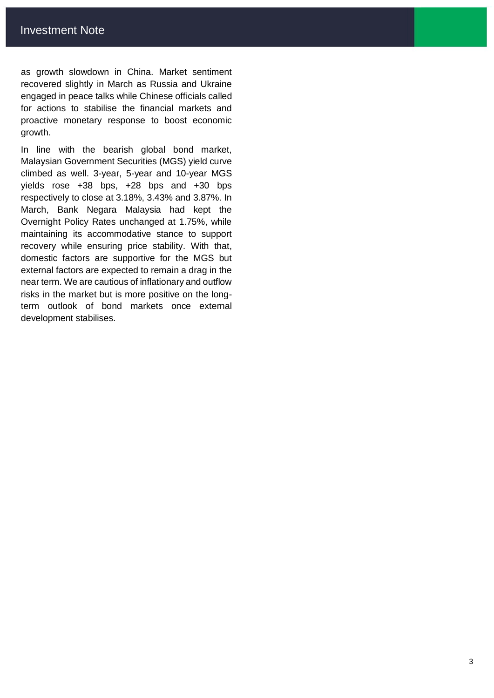as growth slowdown in China. Market sentiment recovered slightly in March as Russia and Ukraine engaged in peace talks while Chinese officials called for actions to stabilise the financial markets and proactive monetary response to boost economic growth.

In line with the bearish global bond market, Malaysian Government Securities (MGS) yield curve climbed as well. 3-year, 5-year and 10-year MGS yields rose +38 bps, +28 bps and +30 bps respectively to close at 3.18%, 3.43% and 3.87%. In March, Bank Negara Malaysia had kept the Overnight Policy Rates unchanged at 1.75%, while maintaining its accommodative stance to support recovery while ensuring price stability. With that, domestic factors are supportive for the MGS but external factors are expected to remain a drag in the near term. We are cautious of inflationary and outflow risks in the market but is more positive on the longterm outlook of bond markets once external development stabilises.